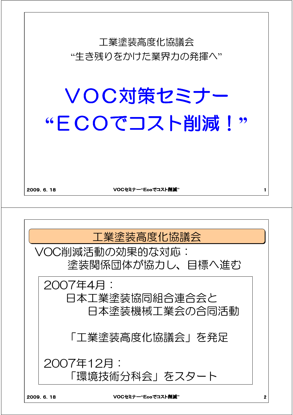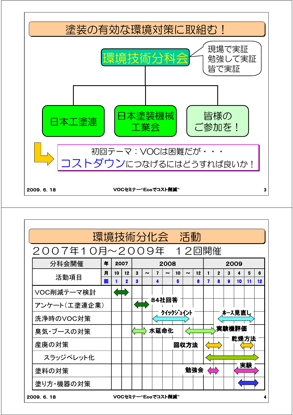